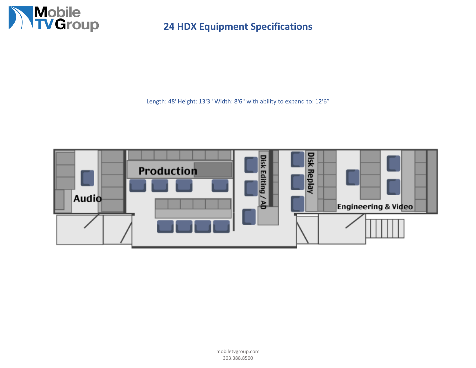

**24 HDX Equipment Specifications**

Length: 48' Height: 13'3" Width: 8'6" with ability to expand to: 12'6"